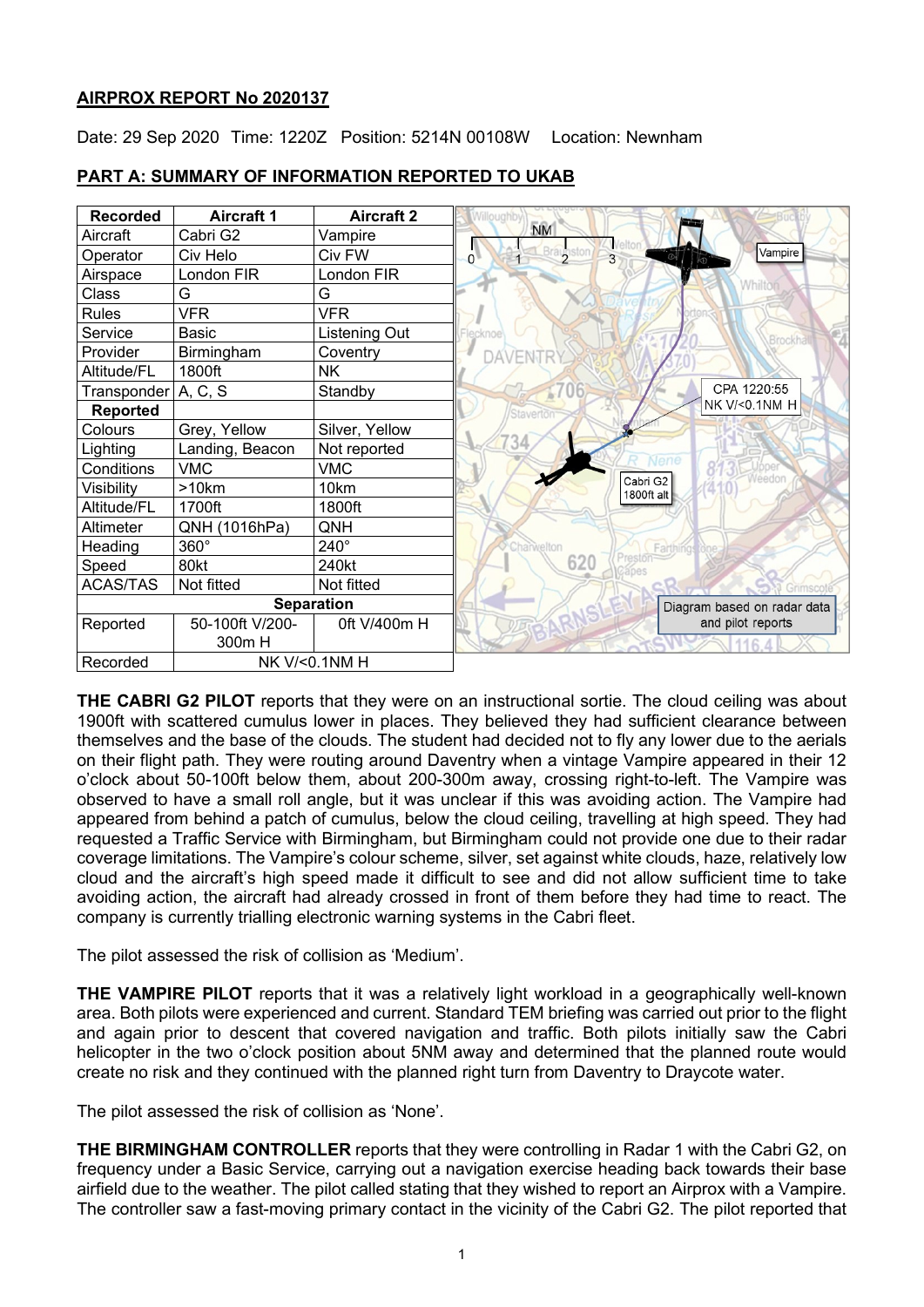# **AIRPROX REPORT No 2020137**

Date: 29 Sep 2020 Time: 1220Z Position: 5214N 00108W Location: Newnham



# **PART A: SUMMARY OF INFORMATION REPORTED TO UKAB**

**THE CABRI G2 PILOT** reports that they were on an instructional sortie. The cloud ceiling was about 1900ft with scattered cumulus lower in places. They believed they had sufficient clearance between themselves and the base of the clouds. The student had decided not to fly any lower due to the aerials on their flight path. They were routing around Daventry when a vintage Vampire appeared in their 12 o'clock about 50-100ft below them, about 200-300m away, crossing right-to-left. The Vampire was observed to have a small roll angle, but it was unclear if this was avoiding action. The Vampire had appeared from behind a patch of cumulus, below the cloud ceiling, travelling at high speed. They had requested a Traffic Service with Birmingham, but Birmingham could not provide one due to their radar coverage limitations. The Vampire's colour scheme, silver, set against white clouds, haze, relatively low cloud and the aircraft's high speed made it difficult to see and did not allow sufficient time to take avoiding action, the aircraft had already crossed in front of them before they had time to react. The company is currently trialling electronic warning systems in the Cabri fleet.

The pilot assessed the risk of collision as 'Medium'.

**THE VAMPIRE PILOT** reports that it was a relatively light workload in a geographically well-known area. Both pilots were experienced and current. Standard TEM briefing was carried out prior to the flight and again prior to descent that covered navigation and traffic. Both pilots initially saw the Cabri helicopter in the two o'clock position about 5NM away and determined that the planned route would create no risk and they continued with the planned right turn from Daventry to Draycote water.

The pilot assessed the risk of collision as 'None'.

**THE BIRMINGHAM CONTROLLER** reports that they were controlling in Radar 1 with the Cabri G2, on frequency under a Basic Service, carrying out a navigation exercise heading back towards their base airfield due to the weather. The pilot called stating that they wished to report an Airprox with a Vampire. The controller saw a fast-moving primary contact in the vicinity of the Cabri G2. The pilot reported that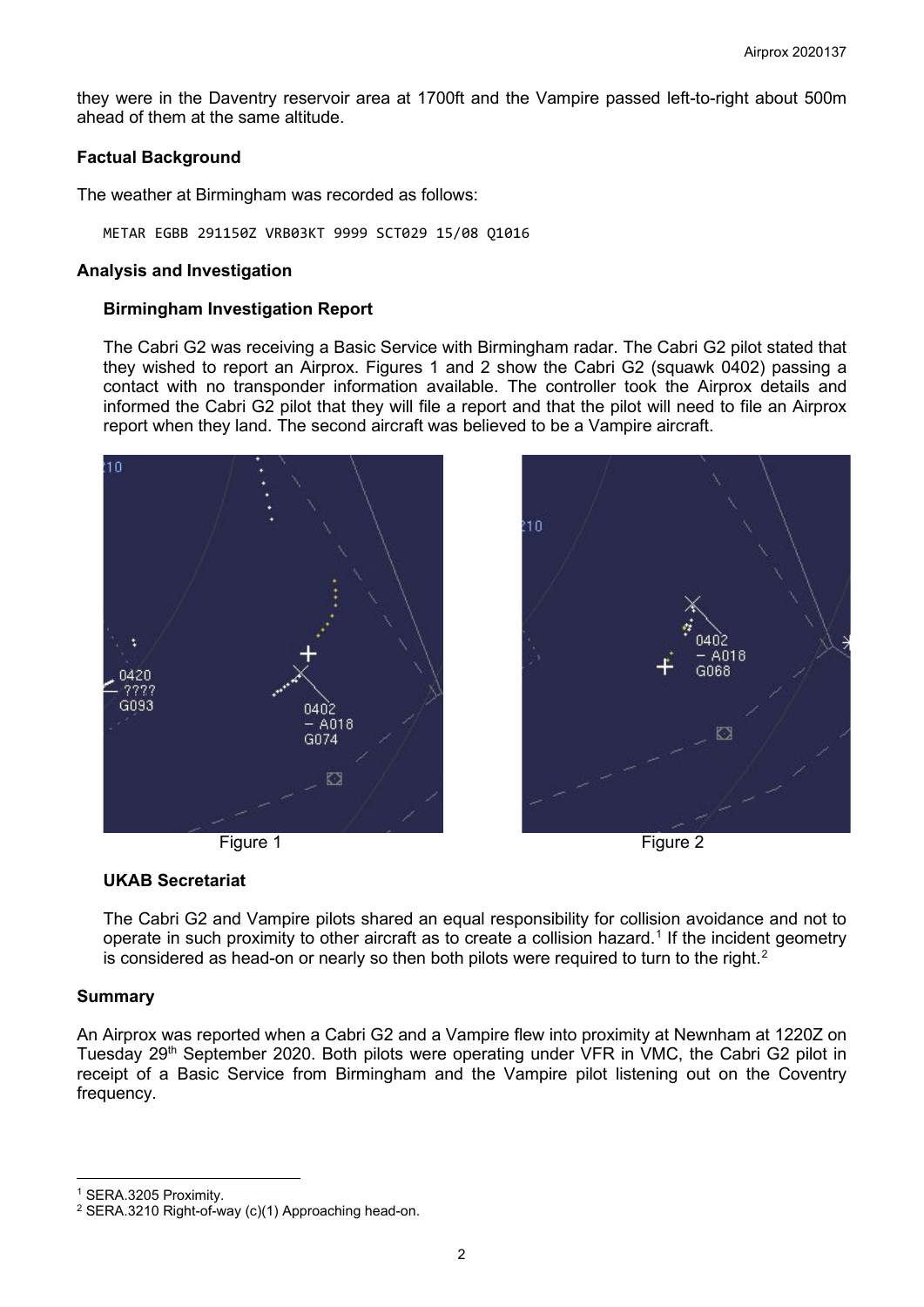they were in the Daventry reservoir area at 1700ft and the Vampire passed left-to-right about 500m ahead of them at the same altitude.

# **Factual Background**

The weather at Birmingham was recorded as follows:

METAR EGBB 291150Z VRB03KT 9999 SCT029 15/08 Q1016

#### **Analysis and Investigation**

#### **Birmingham Investigation Report**

The Cabri G2 was receiving a Basic Service with Birmingham radar. The Cabri G2 pilot stated that they wished to report an Airprox. Figures 1 and 2 show the Cabri G2 (squawk 0402) passing a contact with no transponder information available. The controller took the Airprox details and informed the Cabri G2 pilot that they will file a report and that the pilot will need to file an Airprox report when they land. The second aircraft was believed to be a Vampire aircraft.









### **UKAB Secretariat**

The Cabri G2 and Vampire pilots shared an equal responsibility for collision avoidance and not to operate in such proximity to other aircraft as to create a collision hazard. $^\text{1}$  $^\text{1}$  $^\text{1}$  If the incident geometry is considered as head-on or nearly so then both pilots were required to turn to the right. $^{\text{2}}$  $^{\text{2}}$  $^{\text{2}}$ 

### **Summary**

An Airprox was reported when a Cabri G2 and a Vampire flew into proximity at Newnham at 1220Z on Tuesday 29<sup>th</sup> September 2020. Both pilots were operating under VFR in VMC, the Cabri G2 pilot in receipt of a Basic Service from Birmingham and the Vampire pilot listening out on the Coventry frequency.

<span id="page-1-0"></span><sup>1</sup> SERA.3205 Proximity.

<span id="page-1-1"></span><sup>2</sup> SERA.3210 Right-of-way (c)(1) Approaching head-on.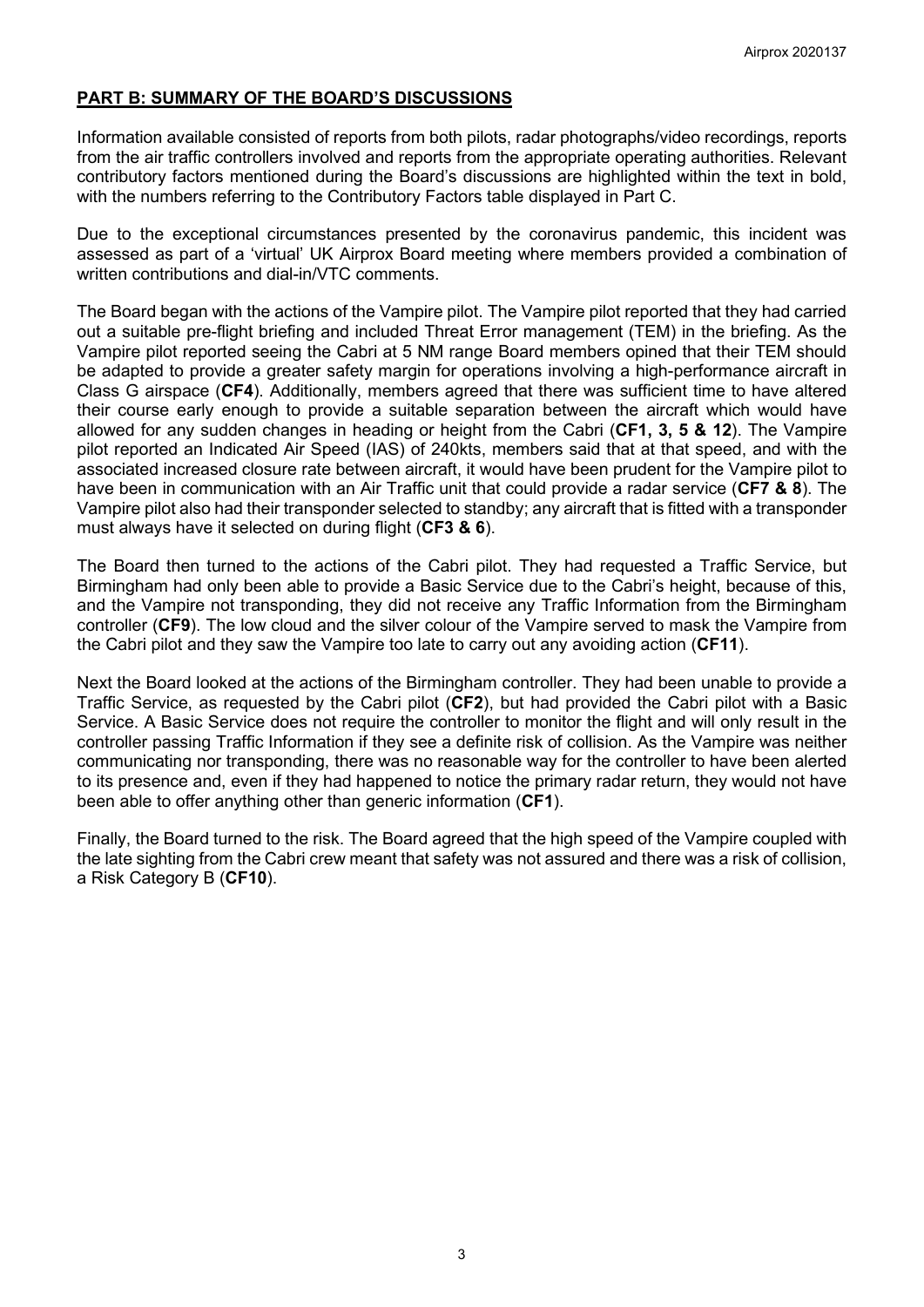# **PART B: SUMMARY OF THE BOARD'S DISCUSSIONS**

Information available consisted of reports from both pilots, radar photographs/video recordings, reports from the air traffic controllers involved and reports from the appropriate operating authorities. Relevant contributory factors mentioned during the Board's discussions are highlighted within the text in bold, with the numbers referring to the Contributory Factors table displayed in Part C.

Due to the exceptional circumstances presented by the coronavirus pandemic, this incident was assessed as part of a 'virtual' UK Airprox Board meeting where members provided a combination of written contributions and dial-in/VTC comments.

The Board began with the actions of the Vampire pilot. The Vampire pilot reported that they had carried out a suitable pre-flight briefing and included Threat Error management (TEM) in the briefing. As the Vampire pilot reported seeing the Cabri at 5 NM range Board members opined that their TEM should be adapted to provide a greater safety margin for operations involving a high-performance aircraft in Class G airspace (**CF4**). Additionally, members agreed that there was sufficient time to have altered their course early enough to provide a suitable separation between the aircraft which would have allowed for any sudden changes in heading or height from the Cabri (**CF1, 3, 5 & 12**). The Vampire pilot reported an Indicated Air Speed (IAS) of 240kts, members said that at that speed, and with the associated increased closure rate between aircraft, it would have been prudent for the Vampire pilot to have been in communication with an Air Traffic unit that could provide a radar service (**CF7 & 8**). The Vampire pilot also had their transponder selected to standby; any aircraft that is fitted with a transponder must always have it selected on during flight (**CF3 & 6**).

The Board then turned to the actions of the Cabri pilot. They had requested a Traffic Service, but Birmingham had only been able to provide a Basic Service due to the Cabri's height, because of this, and the Vampire not transponding, they did not receive any Traffic Information from the Birmingham controller (**CF9**). The low cloud and the silver colour of the Vampire served to mask the Vampire from the Cabri pilot and they saw the Vampire too late to carry out any avoiding action (**CF11**).

Next the Board looked at the actions of the Birmingham controller. They had been unable to provide a Traffic Service, as requested by the Cabri pilot (**CF2**), but had provided the Cabri pilot with a Basic Service. A Basic Service does not require the controller to monitor the flight and will only result in the controller passing Traffic Information if they see a definite risk of collision. As the Vampire was neither communicating nor transponding, there was no reasonable way for the controller to have been alerted to its presence and, even if they had happened to notice the primary radar return, they would not have been able to offer anything other than generic information (**CF1**).

Finally, the Board turned to the risk. The Board agreed that the high speed of the Vampire coupled with the late sighting from the Cabri crew meant that safety was not assured and there was a risk of collision, a Risk Category B (**CF10**).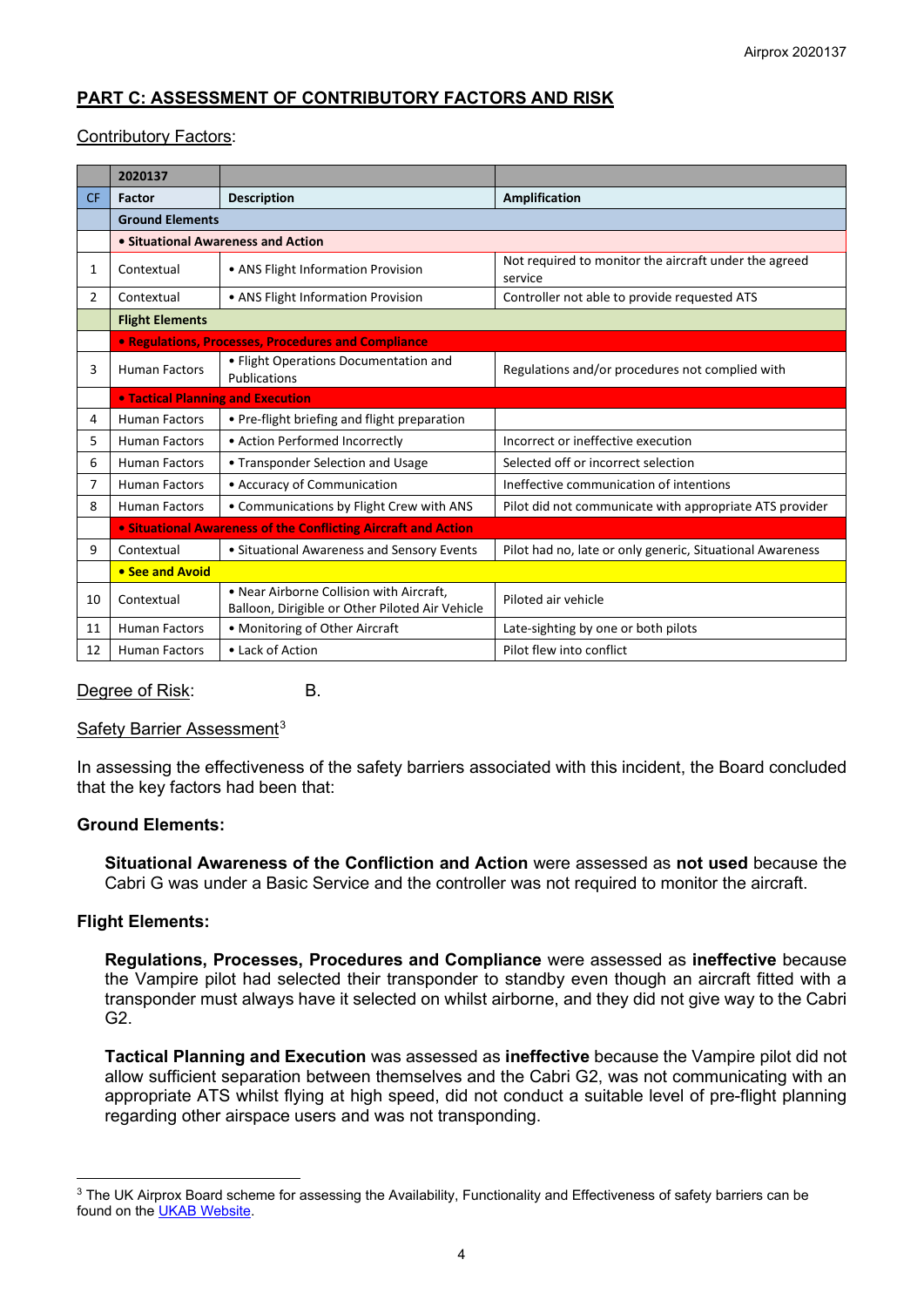# **PART C: ASSESSMENT OF CONTRIBUTORY FACTORS AND RISK**

#### Contributory Factors:

|           | 2020137                                                        |                                                                                             |                                                                  |
|-----------|----------------------------------------------------------------|---------------------------------------------------------------------------------------------|------------------------------------------------------------------|
| <b>CF</b> | Factor                                                         | <b>Description</b>                                                                          | <b>Amplification</b>                                             |
|           | <b>Ground Elements</b>                                         |                                                                                             |                                                                  |
|           | • Situational Awareness and Action                             |                                                                                             |                                                                  |
| 1         | Contextual                                                     | • ANS Flight Information Provision                                                          | Not required to monitor the aircraft under the agreed<br>service |
| 2         | Contextual                                                     | • ANS Flight Information Provision                                                          | Controller not able to provide requested ATS                     |
|           | <b>Flight Elements</b>                                         |                                                                                             |                                                                  |
|           | • Regulations, Processes, Procedures and Compliance            |                                                                                             |                                                                  |
| 3         | <b>Human Factors</b>                                           | · Flight Operations Documentation and<br>Publications                                       | Regulations and/or procedures not complied with                  |
|           | <b>. Tactical Planning and Execution</b>                       |                                                                                             |                                                                  |
| 4         | <b>Human Factors</b>                                           | • Pre-flight briefing and flight preparation                                                |                                                                  |
| 5         | <b>Human Factors</b>                                           | • Action Performed Incorrectly                                                              | Incorrect or ineffective execution                               |
| 6         | <b>Human Factors</b>                                           | • Transponder Selection and Usage                                                           | Selected off or incorrect selection                              |
| 7         | <b>Human Factors</b>                                           | • Accuracy of Communication                                                                 | Ineffective communication of intentions                          |
| 8         | Human Factors                                                  | • Communications by Flight Crew with ANS                                                    | Pilot did not communicate with appropriate ATS provider          |
|           | • Situational Awareness of the Conflicting Aircraft and Action |                                                                                             |                                                                  |
| 9         | Contextual                                                     | • Situational Awareness and Sensory Events                                                  | Pilot had no, late or only generic, Situational Awareness        |
|           | • See and Avoid                                                |                                                                                             |                                                                  |
| 10        | Contextual                                                     | • Near Airborne Collision with Aircraft,<br>Balloon, Dirigible or Other Piloted Air Vehicle | Piloted air vehicle                                              |
| 11        | <b>Human Factors</b>                                           | • Monitoring of Other Aircraft                                                              | Late-sighting by one or both pilots                              |
| 12        | <b>Human Factors</b>                                           | • Lack of Action                                                                            | Pilot flew into conflict                                         |

Degree of Risk: B.

Safety Barrier Assessment<sup>[3](#page-3-0)</sup>

In assessing the effectiveness of the safety barriers associated with this incident, the Board concluded that the key factors had been that:

#### **Ground Elements:**

**Situational Awareness of the Confliction and Action** were assessed as **not used** because the Cabri G was under a Basic Service and the controller was not required to monitor the aircraft.

#### **Flight Elements:**

**Regulations, Processes, Procedures and Compliance** were assessed as **ineffective** because the Vampire pilot had selected their transponder to standby even though an aircraft fitted with a transponder must always have it selected on whilst airborne, and they did not give way to the Cabri G2.

**Tactical Planning and Execution** was assessed as **ineffective** because the Vampire pilot did not allow sufficient separation between themselves and the Cabri G2, was not communicating with an appropriate ATS whilst flying at high speed, did not conduct a suitable level of pre-flight planning regarding other airspace users and was not transponding.

<span id="page-3-0"></span><sup>&</sup>lt;sup>3</sup> The UK Airprox Board scheme for assessing the Availability, Functionality and Effectiveness of safety barriers can be found on the [UKAB Website.](http://www.airproxboard.org.uk/Learn-more/Airprox-Barrier-Assessment/)